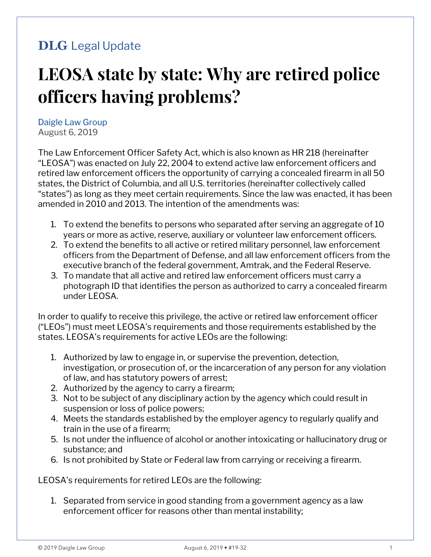## **DLG** Legal Update

# **LEOSA state by state: Why are retired police officers having problems?**

Daigle Law Group August 6, 2019

The Law Enforcement Officer Safety Act, which is also known as HR 218 (hereinafter "LEOSA") was enacted on July 22, 2004 to extend active law enforcement officers and retired law enforcement officers the opportunity of carrying a concealed firearm in all 50 states, the District of Columbia, and all U.S. territories (hereinafter collectively called "states") as long as they meet certain requirements. Since the law was enacted, it has been amended in 2010 and 2013. The intention of the amendments was:

- 1. To extend the benefits to persons who separated after serving an aggregate of 10 years or more as active, reserve, auxiliary or volunteer law enforcement officers.
- 2. To extend the benefits to all active or retired military personnel, law enforcement officers from the Department of Defense, and all law enforcement officers from the executive branch of the federal government, Amtrak, and the Federal Reserve.
- 3. To mandate that all active and retired law enforcement officers must carry a photograph ID that identifies the person as authorized to carry a concealed firearm under LEOSA.

In order to qualify to receive this privilege, the active or retired law enforcement officer ("LEOs") must meet LEOSA's requirements and those requirements established by the states. LEOSA's requirements for active LEOs are the following:

- 1. Authorized by law to engage in, or supervise the prevention, detection, investigation, or prosecution of, or the incarceration of any person for any violation of law, and has statutory powers of arrest;
- 2. Authorized by the agency to carry a firearm;
- 3. Not to be subject of any disciplinary action by the agency which could result in suspension or loss of police powers;
- 4. Meets the standards established by the employer agency to regularly qualify and train in the use of a firearm;
- 5. Is not under the influence of alcohol or another intoxicating or hallucinatory drug or substance; and
- 6. Is not prohibited by State or Federal law from carrying or receiving a firearm.

LEOSA's requirements for retired LEOs are the following:

1. Separated from service in good standing from a government agency as a law enforcement officer for reasons other than mental instability;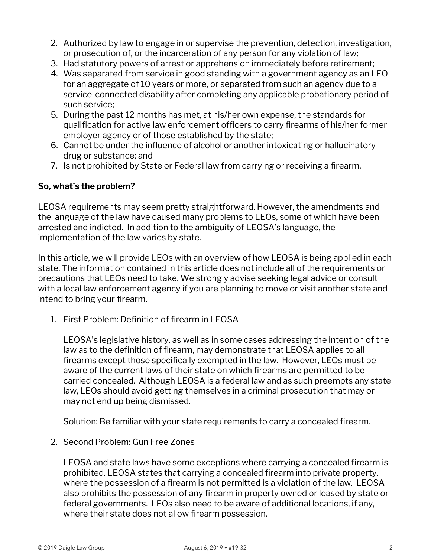- 2. Authorized by law to engage in or supervise the prevention, detection, investigation, or prosecution of, or the incarceration of any person for any violation of law;
- 3. Had statutory powers of arrest or apprehension immediately before retirement;
- 4. Was separated from service in good standing with a government agency as an LEO for an aggregate of 10 years or more, or separated from such an agency due to a service-connected disability after completing any applicable probationary period of such service;
- 5. During the past 12 months has met, at his/her own expense, the standards for qualification for active law enforcement officers to carry firearms of his/her former employer agency or of those established by the state;
- 6. Cannot be under the influence of alcohol or another intoxicating or hallucinatory drug or substance; and
- 7. Is not prohibited by State or Federal law from carrying or receiving a firearm.

#### **So, what's the problem?**

LEOSA requirements may seem pretty straightforward. However, the amendments and the language of the law have caused many problems to LEOs, some of which have been arrested and indicted. In addition to the ambiguity of LEOSA's language, the implementation of the law varies by state.

In this article, we will provide LEOs with an overview of how LEOSA is being applied in each state. The information contained in this article does not include all of the requirements or precautions that LEOs need to take. We strongly advise seeking legal advice or consult with a local law enforcement agency if you are planning to move or visit another state and intend to bring your firearm.

1. First Problem: Definition of firearm in LEOSA

LEOSA's legislative history, as well as in some cases addressing the intention of the law as to the definition of firearm, may demonstrate that LEOSA applies to all firearms except those specifically exempted in the law. However, LEOs must be aware of the current laws of their state on which firearms are permitted to be carried concealed. Although LEOSA is a federal law and as such preempts any state law, LEOs should avoid getting themselves in a criminal prosecution that may or may not end up being dismissed.

Solution: Be familiar with your state requirements to carry a concealed firearm.

2. Second Problem: Gun Free Zones

LEOSA and state laws have some exceptions where carrying a concealed firearm is prohibited. LEOSA states that carrying a concealed firearm into private property, where the possession of a firearm is not permitted is a violation of the law. LEOSA also prohibits the possession of any firearm in property owned or leased by state or federal governments. LEOs also need to be aware of additional locations, if any, where their state does not allow firearm possession.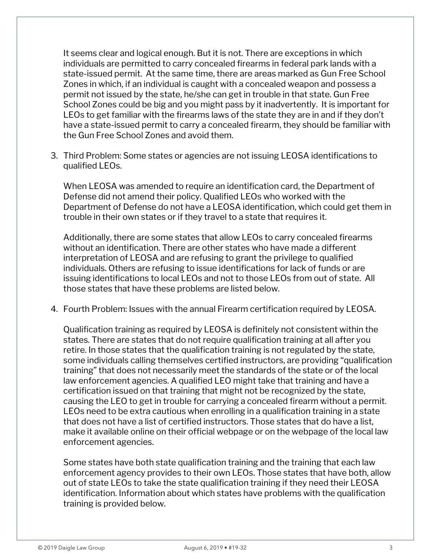It seems clear and logical enough. But it is not. There are exceptions in which individuals are permitted to carry concealed firearms in federal park lands with a state-issued permit. At the same time, there are areas marked as Gun Free School Zones in which, if an individual is caught with a concealed weapon and possess a permit not issued by the state, he/she can get in trouble in that state. Gun Free School Zones could be big and you might pass by it inadvertently. It is important for LEOs to get familiar with the firearms laws of the state they are in and if they don't have a state-issued permit to carry a concealed firearm, they should be familiar with the Gun Free School Zones and avoid them.

3. Third Problem: Some states or agencies are not issuing LEOSA identifications to qualified LEOs.

When LEOSA was amended to require an identification card, the Department of Defense did not amend their policy. Qualified LEOs who worked with the Department of Defense do not have a LEOSA identification, which could get them in trouble in their own states or if they travel to a state that requires it.

Additionally, there are some states that allow LEOs to carry concealed firearms without an identification. There are other states who have made a different interpretation of LEOSA and are refusing to grant the privilege to qualified individuals. Others are refusing to issue identifications for lack of funds or are issuing identifications to local LEOs and not to those LEOs from out of state. All those states that have these problems are listed below.

4. Fourth Problem: Issues with the annual Firearm certification required by LEOSA.

Qualification training as required by LEOSA is definitely not consistent within the states. There are states that do not require qualification training at all after you retire. In those states that the qualification training is not regulated by the state, some individuals calling themselves certified instructors, are providing "qualification training" that does not necessarily meet the standards of the state or of the local law enforcement agencies. A qualified LEO might take that training and have a certification issued on that training that might not be recognized by the state, causing the LEO to get in trouble for carrying a concealed firearm without a permit. LEOs need to be extra cautious when enrolling in a qualification training in a state that does not have a list of certified instructors. Those states that do have a list, make it available online on their official webpage or on the webpage of the local law enforcement agencies.

Some states have both state qualification training and the training that each law enforcement agency provides to their own LEOs. Those states that have both, allow out of state LEOs to take the state qualification training if they need their LEOSA identification. Information about which states have problems with the qualification training is provided below.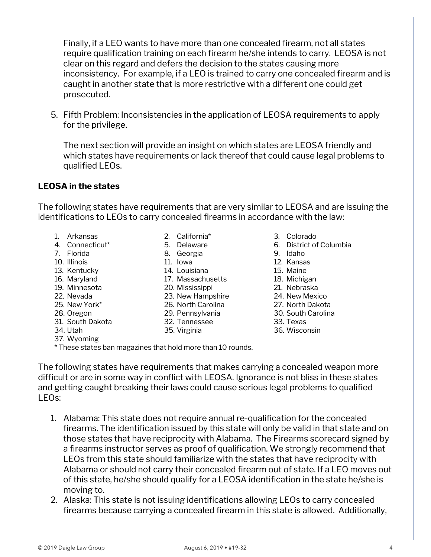Finally, if a LEO wants to have more than one concealed firearm, not all states require qualification training on each firearm he/she intends to carry. LEOSA is not clear on this regard and defers the decision to the states causing more inconsistency. For example, if a LEO is trained to carry one concealed firearm and is caught in another state that is more restrictive with a different one could get prosecuted.

5. Fifth Problem: Inconsistencies in the application of LEOSA requirements to apply for the privilege.

The next section will provide an insight on which states are LEOSA friendly and which states have requirements or lack thereof that could cause legal problems to qualified LEOs.

#### **LEOSA in the states**

The following states have requirements that are very similar to LEOSA and are issuing the identifications to LEOs to carry concealed firearms in accordance with the law:

- 1. Arkansas 2. California\* 3. Colorado
- 
- 7. Florida 68. Georgia
- 
- 13. Kentucky 14. Louisiana 15. Maine
- 16. Maryland 17. Massachusetts 18. Michigan
- 19. Minnesota 20. Mississippi 21. Nebraska
- 
- 
- 
- 31. South Dakota 32. Tennessee 33. Texas
- 
- 37. Wyoming

\* These states ban magazines that hold more than 10 rounds.

The following states have requirements that makes carrying a concealed weapon more difficult or are in some way in conflict with LEOSA. Ignorance is not bliss in these states and getting caught breaking their laws could cause serious legal problems to qualified LEOs:

- 1. Alabama: This state does not require annual re-qualification for the concealed firearms. The identification issued by this state will only be valid in that state and on those states that have reciprocity with Alabama. The Firearms scorecard signed by a firearms instructor serves as proof of qualification. We strongly recommend that LEOs from this state should familiarize with the states that have reciprocity with Alabama or should not carry their concealed firearm out of state. If a LEO moves out of this state, he/she should qualify for a LEOSA identification in the state he/she is moving to.
- 2. Alaska: This state is not issuing identifications allowing LEOs to carry concealed firearms because carrying a concealed firearm in this state is allowed. Additionally,
- 
- 4. Connecticut\* 5. Delaware 6. District of Columbia
	-
- 10. Illinois 11. Iowa 12. Kansas
	-
	-
	-
- 22. Nevada 23. New Hampshire 24. New Mexico
- 25. New York\* 26. North Carolina 27. North Dakota
- 28. Oregon 29. Pennsylvania 30. South Carolina
	-
- 34. Utah 35. Virginia 36. Wisconsin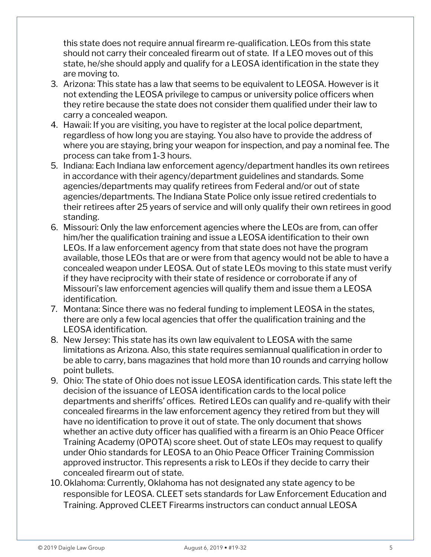this state does not require annual firearm re-qualification. LEOs from this state should not carry their concealed firearm out of state. If a LEO moves out of this state, he/she should apply and qualify for a LEOSA identification in the state they are moving to.

- 3. Arizona: This state has a law that seems to be equivalent to LEOSA. However is it not extending the LEOSA privilege to campus or university police officers when they retire because the state does not consider them qualified under their law to carry a concealed weapon.
- 4. Hawaii: If you are visiting, you have to register at the local police department, regardless of how long you are staying. You also have to provide the address of where you are staying, bring your weapon for inspection, and pay a nominal fee. The process can take from 1-3 hours.
- 5. Indiana: Each Indiana law enforcement agency/department handles its own retirees in accordance with their agency/department guidelines and standards. Some agencies/departments may qualify retirees from Federal and/or out of state agencies/departments. The Indiana State Police only issue retired credentials to their retirees after 25 years of service and will only qualify their own retirees in good standing.
- 6. Missouri: Only the law enforcement agencies where the LEOs are from, can offer him/her the qualification training and issue a LEOSA identification to their own LEOs. If a law enforcement agency from that state does not have the program available, those LEOs that are or were from that agency would not be able to have a concealed weapon under LEOSA. Out of state LEOs moving to this state must verify if they have reciprocity with their state of residence or corroborate if any of Missouri's law enforcement agencies will qualify them and issue them a LEOSA identification.
- 7. Montana: Since there was no federal funding to implement LEOSA in the states, there are only a few local agencies that offer the qualification training and the LEOSA identification.
- 8. New Jersey: This state has its own law equivalent to LEOSA with the same limitations as Arizona. Also, this state requires semiannual qualification in order to be able to carry, bans magazines that hold more than 10 rounds and carrying hollow point bullets.
- 9. Ohio: The state of Ohio does not issue LEOSA identification cards. This state left the decision of the issuance of LEOSA identification cards to the local police departments and sheriffs' offices. Retired LEOs can qualify and re-qualify with their concealed firearms in the law enforcement agency they retired from but they will have no identification to prove it out of state. The only document that shows whether an active duty officer has qualified with a firearm is an Ohio Peace Officer Training Academy (OPOTA) score sheet. Out of state LEOs may request to qualify under Ohio standards for LEOSA to an Ohio Peace Officer Training Commission approved instructor. This represents a risk to LEOs if they decide to carry their concealed firearm out of state.
- 10.Oklahoma: Currently, Oklahoma has not designated any state agency to be responsible for LEOSA. CLEET sets standards for Law Enforcement Education and Training. Approved CLEET Firearms instructors can conduct annual LEOSA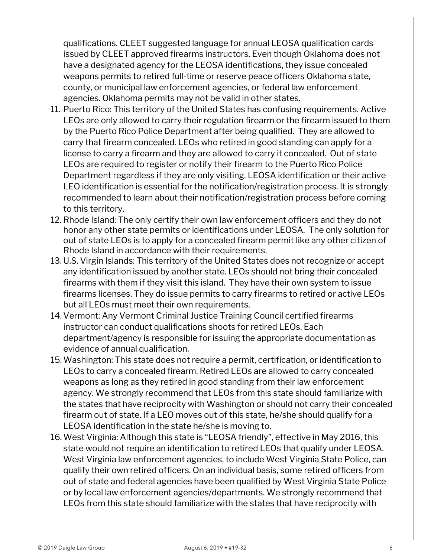qualifications. CLEET suggested language for annual LEOSA qualification cards issued by CLEET approved firearms instructors. Even though Oklahoma does not have a designated agency for the LEOSA identifications, they issue concealed weapons permits to retired full-time or reserve peace officers Oklahoma state, county, or municipal law enforcement agencies, or federal law enforcement agencies. Oklahoma permits may not be valid in other states.

- 11. Puerto Rico: This territory of the United States has confusing requirements. Active LEOs are only allowed to carry their regulation firearm or the firearm issued to them by the Puerto Rico Police Department after being qualified. They are allowed to carry that firearm concealed. LEOs who retired in good standing can apply for a license to carry a firearm and they are allowed to carry it concealed. Out of state LEOs are required to register or notify their firearm to the Puerto Rico Police Department regardless if they are only visiting. LEOSA identification or their active LEO identification is essential for the notification/registration process. It is strongly recommended to learn about their notification/registration process before coming to this territory.
- 12. Rhode Island: The only certify their own law enforcement officers and they do not honor any other state permits or identifications under LEOSA. The only solution for out of state LEOs is to apply for a concealed firearm permit like any other citizen of Rhode Island in accordance with their requirements.
- 13. U.S. Virgin Islands: This territory of the United States does not recognize or accept any identification issued by another state. LEOs should not bring their concealed firearms with them if they visit this island. They have their own system to issue firearms licenses. They do issue permits to carry firearms to retired or active LEOs but all LEOs must meet their own requirements.
- 14. Vermont: Any Vermont Criminal Justice Training Council certified firearms instructor can conduct qualifications shoots for retired LEOs. Each department/agency is responsible for issuing the appropriate documentation as evidence of annual qualification.
- 15.Washington: This state does not require a permit, certification, or identification to LEOs to carry a concealed firearm. Retired LEOs are allowed to carry concealed weapons as long as they retired in good standing from their law enforcement agency. We strongly recommend that LEOs from this state should familiarize with the states that have reciprocity with Washington or should not carry their concealed firearm out of state. If a LEO moves out of this state, he/she should qualify for a LEOSA identification in the state he/she is moving to.
- 16.West Virginia: Although this state is "LEOSA friendly", effective in May 2016, this state would not require an identification to retired LEOs that qualify under LEOSA. West Virginia law enforcement agencies, to include West Virginia State Police, can qualify their own retired officers. On an individual basis, some retired officers from out of state and federal agencies have been qualified by West Virginia State Police or by local law enforcement agencies/departments. We strongly recommend that LEOs from this state should familiarize with the states that have reciprocity with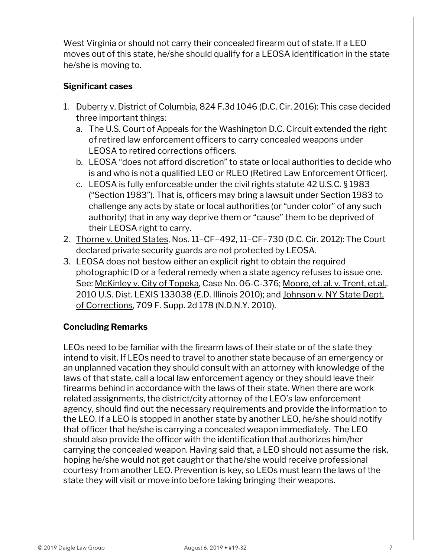West Virginia or should not carry their concealed firearm out of state. If a LEO moves out of this state, he/she should qualify for a LEOSA identification in the state he/she is moving to.

#### **Significant cases**

- 1. Duberry v. District of Columbia, 824 F.3d 1046 (D.C. Cir. 2016): This case decided three important things:
	- a. The U.S. Court of Appeals for the Washington D.C. Circuit extended the right of retired law enforcement officers to carry concealed weapons under LEOSA to retired corrections officers.
	- b. LEOSA "does not afford discretion" to state or local authorities to decide who is and who is not a qualified LEO or RLEO (Retired Law Enforcement Officer).
	- c. LEOSA is fully enforceable under the civil rights statute 42 U.S.C. § 1983 ("Section 1983"). That is, officers may bring a lawsuit under Section 1983 to challenge any acts by state or local authorities (or "under color" of any such authority) that in any way deprive them or "cause" them to be deprived of their LEOSA right to carry.
- 2. Thorne v. United States, Nos. 11–CF–492, 11–CF–730 (D.C. Cir. 2012): The Court declared private security guards are not protected by LEOSA.
- 3. LEOSA does not bestow either an explicit right to obtain the required photographic ID or a federal remedy when a state agency refuses to issue one. See: McKinley v. City of Topeka, Case No. 06-C-376; Moore, et. al. v. Trent, et.al., 2010 U.S. Dist. LEXIS 133038 (E.D. Illinois 2010); and Johnson v. NY State Dept. of Corrections, 709 F. Supp. 2d 178 (N.D.N.Y. 2010).

### **Concluding Remarks**

LEOs need to be familiar with the firearm laws of their state or of the state they intend to visit. If LEOs need to travel to another state because of an emergency or an unplanned vacation they should consult with an attorney with knowledge of the laws of that state, call a local law enforcement agency or they should leave their firearms behind in accordance with the laws of their state. When there are work related assignments, the district/city attorney of the LEO's law enforcement agency, should find out the necessary requirements and provide the information to the LEO. If a LEO is stopped in another state by another LEO, he/she should notify that officer that he/she is carrying a concealed weapon immediately. The LEO should also provide the officer with the identification that authorizes him/her carrying the concealed weapon. Having said that, a LEO should not assume the risk, hoping he/she would not get caught or that he/she would receive professional courtesy from another LEO. Prevention is key, so LEOs must learn the laws of the state they will visit or move into before taking bringing their weapons.